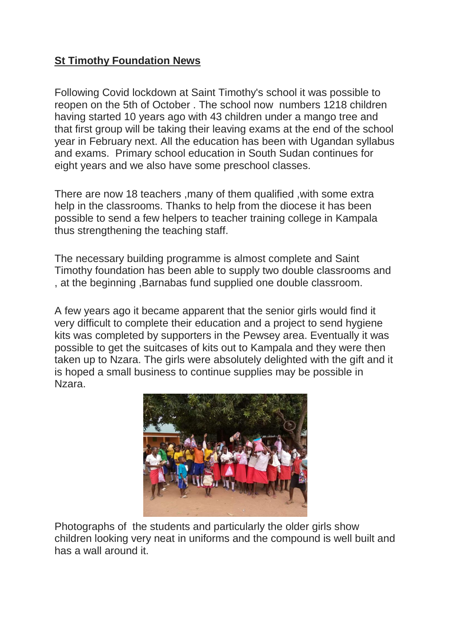## **St Timothy Foundation News**

Following Covid lockdown at Saint Timothy's school it was possible to reopen on the 5th of October . The school now numbers 1218 children having started 10 years ago with 43 children under a mango tree and that first group will be taking their leaving exams at the end of the school year in February next. All the education has been with Ugandan syllabus and exams. Primary school education in South Sudan continues for eight years and we also have some preschool classes.

There are now 18 teachers ,many of them qualified ,with some extra help in the classrooms. Thanks to help from the diocese it has been possible to send a few helpers to teacher training college in Kampala thus strengthening the teaching staff.

The necessary building programme is almost complete and Saint Timothy foundation has been able to supply two double classrooms and , at the beginning ,Barnabas fund supplied one double classroom.

A few years ago it became apparent that the senior girls would find it very difficult to complete their education and a project to send hygiene kits was completed by supporters in the Pewsey area. Eventually it was possible to get the suitcases of kits out to Kampala and they were then taken up to Nzara. The girls were absolutely delighted with the gift and it is hoped a small business to continue supplies may be possible in Nzara.



Photographs of the students and particularly the older girls show children looking very neat in uniforms and the compound is well built and has a wall around it.